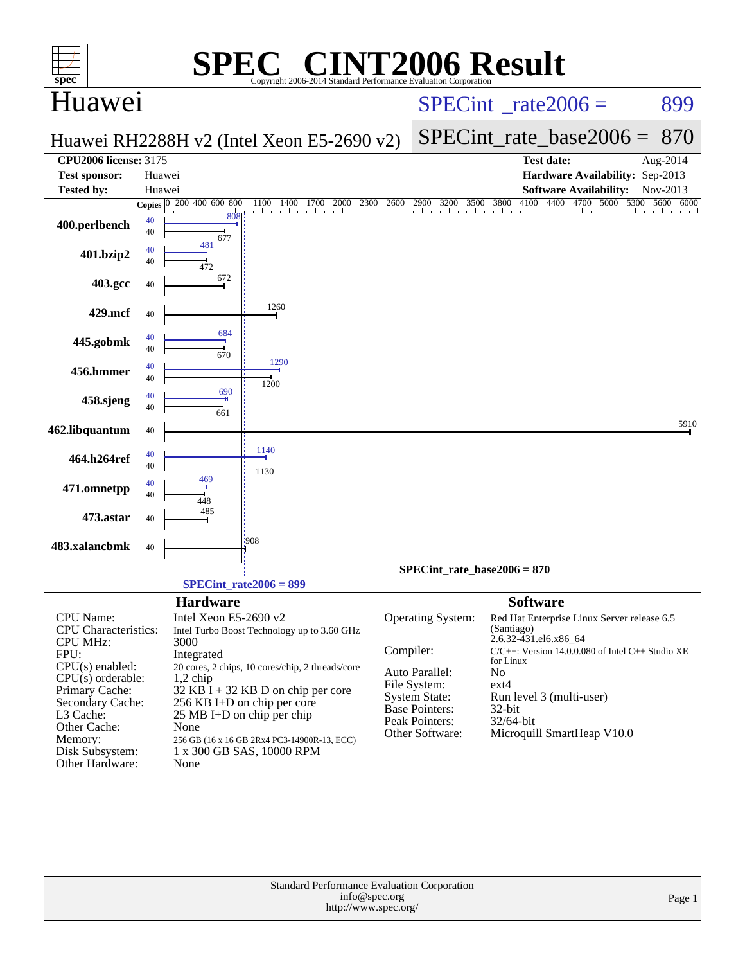|                                                             |          |                               | $\bigcap$ $\mathbb{R}$ $\bigcap$                                         |               | <b>INT2006 Result</b>                |                                     |                                                            |                      |
|-------------------------------------------------------------|----------|-------------------------------|--------------------------------------------------------------------------|---------------|--------------------------------------|-------------------------------------|------------------------------------------------------------|----------------------|
| $spec^*$                                                    |          |                               | Copyright 2006-2014 Standard Performance Evaluation Cornoration          |               |                                      |                                     |                                                            |                      |
| Huawei                                                      |          |                               |                                                                          |               | $SPECint^{\circ}$ rate $2006 =$      |                                     |                                                            | 899                  |
|                                                             |          |                               | Huawei RH2288H v2 (Intel Xeon E5-2690 v2)                                |               |                                      |                                     | $SPECint$ rate_base2006 =                                  | 870                  |
| <b>CPU2006 license: 3175</b><br><b>Test sponsor:</b>        |          | Huawei                        |                                                                          |               |                                      |                                     | <b>Test date:</b><br>Hardware Availability: Sep-2013       | Aug-2014             |
| <b>Tested by:</b>                                           | Huawei   |                               |                                                                          |               |                                      |                                     | <b>Software Availability:</b>                              | Nov-2013             |
|                                                             |          | Copies 0 200 400 600 800      | 1100<br>1400<br>1700<br>2000<br>2300                                     | 2600          | 2900<br>3200 3500                    | 4100<br>3800                        | 4400 4700 5000<br>a basebasebasebasebasebasebasebasebaseba | 5300<br>5600<br>6000 |
| 400.perlbench                                               | 40<br>40 | 808<br>677                    |                                                                          |               |                                      |                                     |                                                            |                      |
| 401.bzip2                                                   | 40<br>40 | 481                           |                                                                          |               |                                      |                                     |                                                            |                      |
| 403.gcc                                                     | 40       | 672                           |                                                                          |               |                                      |                                     |                                                            |                      |
| 429.mcf                                                     | 40       |                               | 1260                                                                     |               |                                      |                                     |                                                            |                      |
| 445.gobmk                                                   | 40<br>40 | 684<br>670                    |                                                                          |               |                                      |                                     |                                                            |                      |
| 456.hmmer                                                   | 40<br>40 |                               | 1290<br>1200                                                             |               |                                      |                                     |                                                            |                      |
| 458.sjeng                                                   | 40<br>40 | 690<br>661                    |                                                                          |               |                                      |                                     |                                                            |                      |
| 462.libquantum                                              | 40       |                               |                                                                          |               |                                      |                                     |                                                            | 5910                 |
| 464.h264ref                                                 | 40<br>40 |                               | 1140<br>1130                                                             |               |                                      |                                     |                                                            |                      |
| 471.omnetpp                                                 | 40<br>40 | 469                           |                                                                          |               |                                      |                                     |                                                            |                      |
| 473.astar                                                   | 40       | 485                           |                                                                          |               |                                      |                                     |                                                            |                      |
| 483.xalancbmk                                               | 40       |                               | 908                                                                      |               |                                      |                                     |                                                            |                      |
|                                                             |          |                               | $SPECint_rate2006 = 899$                                                 |               | $SPECint_rate_base2006 = 870$        |                                     |                                                            |                      |
|                                                             |          | <b>Hardware</b>               |                                                                          |               |                                      | <b>Software</b>                     |                                                            |                      |
| CPU Name:<br><b>CPU</b> Characteristics:<br><b>CPU MHz:</b> |          | Intel Xeon E5-2690 v2<br>3000 | Intel Turbo Boost Technology up to 3.60 GHz                              |               | Operating System:                    | (Santiago)<br>2.6.32-431.el6.x86_64 | Red Hat Enterprise Linux Server release 6.5                |                      |
| FPU:                                                        |          | Integrated                    |                                                                          | Compiler:     |                                      | for Linux                           | $C/C++$ : Version 14.0.0.080 of Intel $C++$ Studio XE      |                      |
| $CPU(s)$ enabled:<br>$CPU(s)$ orderable:                    |          | $1,2$ chip                    | 20 cores, 2 chips, 10 cores/chip, 2 threads/core                         |               | Auto Parallel:                       | No                                  |                                                            |                      |
| Primary Cache:                                              |          |                               | $32$ KB $\bar{1}$ + 32 KB D on chip per core                             |               | File System:<br><b>System State:</b> | $ext{4}$                            | Run level 3 (multi-user)                                   |                      |
| Secondary Cache:<br>L3 Cache:                               |          |                               | 256 KB I+D on chip per core<br>25 MB I+D on chip per chip                |               | Base Pointers:                       | 32-bit                              |                                                            |                      |
| Other Cache:                                                |          | None                          |                                                                          |               | Peak Pointers:<br>Other Software:    | 32/64-bit                           | Microquill SmartHeap V10.0                                 |                      |
| Memory:<br>Disk Subsystem:                                  |          |                               | 256 GB (16 x 16 GB 2Rx4 PC3-14900R-13, ECC)<br>1 x 300 GB SAS, 10000 RPM |               |                                      |                                     |                                                            |                      |
| Other Hardware:                                             |          | None                          |                                                                          |               |                                      |                                     |                                                            |                      |
|                                                             |          |                               |                                                                          |               |                                      |                                     |                                                            |                      |
|                                                             |          |                               | Standard Performance Evaluation Corporation<br>http://www.spec.org/      | info@spec.org |                                      |                                     |                                                            | Page 1               |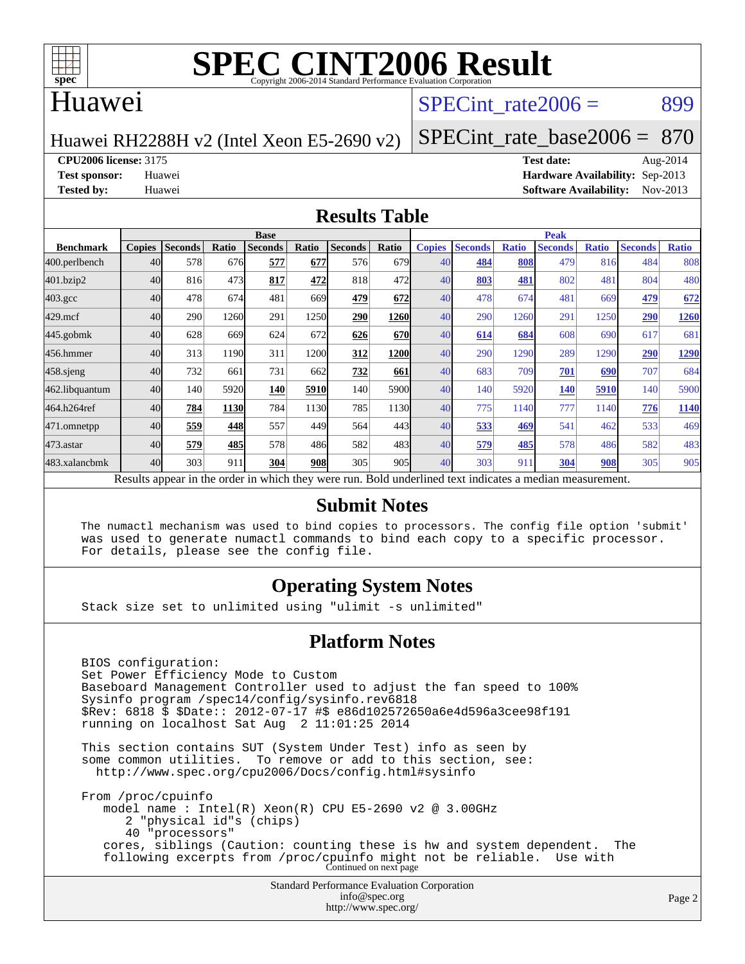

## Huawei

### SPECint rate $2006 = 899$

Huawei RH2288H v2 (Intel Xeon E5-2690 v2)

[SPECint\\_rate\\_base2006 =](http://www.spec.org/auto/cpu2006/Docs/result-fields.html#SPECintratebase2006) 870

**[CPU2006 license:](http://www.spec.org/auto/cpu2006/Docs/result-fields.html#CPU2006license)** 3175 **[Test date:](http://www.spec.org/auto/cpu2006/Docs/result-fields.html#Testdate)** Aug-2014

**[Test sponsor:](http://www.spec.org/auto/cpu2006/Docs/result-fields.html#Testsponsor)** Huawei **[Hardware Availability:](http://www.spec.org/auto/cpu2006/Docs/result-fields.html#HardwareAvailability)** Sep-2013 **[Tested by:](http://www.spec.org/auto/cpu2006/Docs/result-fields.html#Testedby)** Huawei **[Software Availability:](http://www.spec.org/auto/cpu2006/Docs/result-fields.html#SoftwareAvailability)** Nov-2013

#### **[Results Table](http://www.spec.org/auto/cpu2006/Docs/result-fields.html#ResultsTable)**

|                                                                                                          | <b>Base</b>   |                |       |                |       |                |                  | <b>Peak</b>   |                |              |                |              |                |              |
|----------------------------------------------------------------------------------------------------------|---------------|----------------|-------|----------------|-------|----------------|------------------|---------------|----------------|--------------|----------------|--------------|----------------|--------------|
| <b>Benchmark</b>                                                                                         | <b>Copies</b> | <b>Seconds</b> | Ratio | <b>Seconds</b> | Ratio | <b>Seconds</b> | Ratio            | <b>Copies</b> | <b>Seconds</b> | <b>Ratio</b> | <b>Seconds</b> | <b>Ratio</b> | <b>Seconds</b> | <b>Ratio</b> |
| 400.perlbench                                                                                            | 40            | 578            | 676   | 577            | 677   | 576            | 679              | 40            | 484            | 808          | 479            | 816          | 484            | 808          |
| 401.bzip2                                                                                                | 40            | 816            | 473   | 817            | 472   | 818            | 472l             | 40            | 803            | 481          | 802            | 481          | 804            | 480          |
| $403.\mathrm{gcc}$                                                                                       | 40            | 478            | 674   | 481            | 669   | 479            | 672              | 40            | 478            | 674          | 481            | 669          | 479            | 672          |
| $429$ .mcf                                                                                               | 40            | 290            | 1260  | 291            | 1250  | 290            | 1260             | 40            | 290            | 1260         | 291            | 1250         | 290            | 1260         |
| $445$ .gobmk                                                                                             | 40            | 628            | 669   | 624            | 672   | 626            | <b>670</b>       | 40            | 614            | 684          | 608            | 690          | 617            | 681          |
| 456.hmmer                                                                                                | 40            | 313            | 1190  | 311            | 1200  | 312            | 1200             | 40            | 290            | 1290         | 289            | 1290         | 290            | 1290         |
| 458 sjeng                                                                                                | 40            | 732            | 661   | 731            | 662   | 732            | 661              | 40            | 683            | 709          | 701            | 690          | 707            | 684          |
| 462.libquantum                                                                                           | 40            | 140            | 5920  | 140            | 5910  | 140            | 5900             | 40            | 140            | 5920         | 140            | 5910         | 140            | 5900         |
| 464.h264ref                                                                                              | 40            | 784            | 1130  | 784            | 1130  | 785            | 1130             | 40            | 775            | 1140         | 777            | 1140         | 776            | 1140         |
| 471.omnetpp                                                                                              | 40            | 559            | 448   | 557            | 449   | 564            | 443I             | 40            | 533            | 469          | 541            | 462          | 533            | 469          |
| $473.$ astar                                                                                             | 40            | 579            | 485   | 578            | 486   | 582            | 483 <sup>I</sup> | 40            | 579            | 485          | 578            | 486          | 582            | 483          |
| 483.xalancbmk                                                                                            | 40            | 303            | 911   | 304            | 908   | 305            | 905I             | 40            | 303            | 911          | 304            | 908          | 305            | 905          |
| Results appear in the order in which they were run. Bold underlined text indicates a median measurement. |               |                |       |                |       |                |                  |               |                |              |                |              |                |              |

#### **[Submit Notes](http://www.spec.org/auto/cpu2006/Docs/result-fields.html#SubmitNotes)**

 The numactl mechanism was used to bind copies to processors. The config file option 'submit' was used to generate numactl commands to bind each copy to a specific processor. For details, please see the config file.

#### **[Operating System Notes](http://www.spec.org/auto/cpu2006/Docs/result-fields.html#OperatingSystemNotes)**

Stack size set to unlimited using "ulimit -s unlimited"

#### **[Platform Notes](http://www.spec.org/auto/cpu2006/Docs/result-fields.html#PlatformNotes)**

 BIOS configuration: Set Power Efficiency Mode to Custom Baseboard Management Controller used to adjust the fan speed to 100% Sysinfo program /spec14/config/sysinfo.rev6818 \$Rev: 6818 \$ \$Date:: 2012-07-17 #\$ e86d102572650a6e4d596a3cee98f191 running on localhost Sat Aug 2 11:01:25 2014 This section contains SUT (System Under Test) info as seen by some common utilities. To remove or add to this section, see: <http://www.spec.org/cpu2006/Docs/config.html#sysinfo> From /proc/cpuinfo model name : Intel(R) Xeon(R) CPU E5-2690 v2 @ 3.00GHz 2 "physical id"s (chips) 40 "processors" cores, siblings (Caution: counting these is hw and system dependent. The following excerpts from /proc/cpuinfo might not be reliable. Use with Continued on next page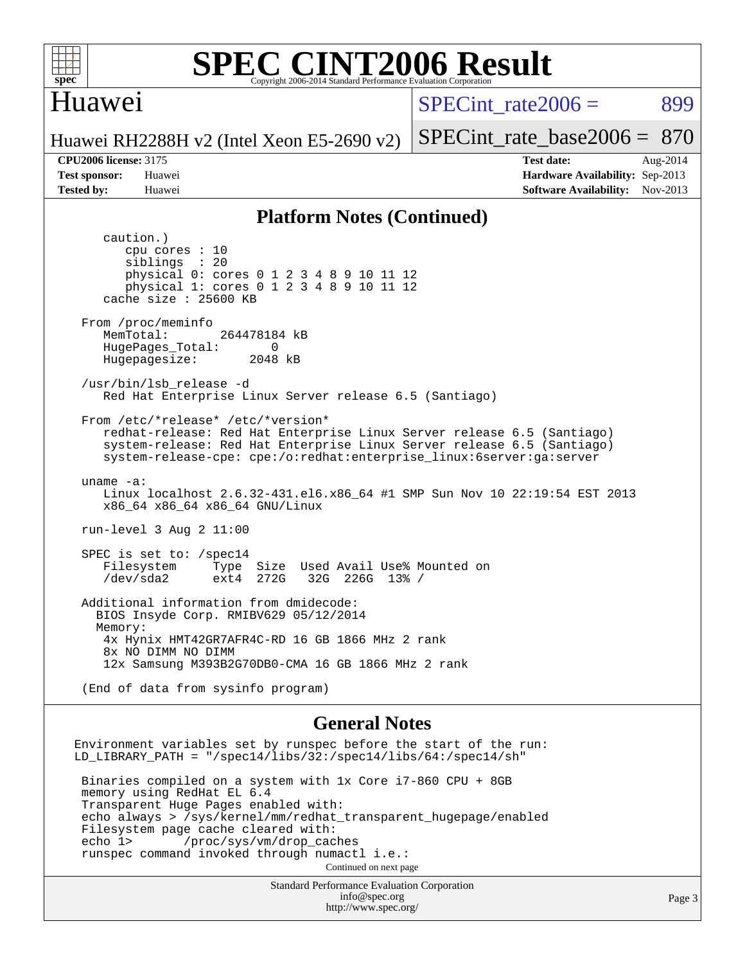

## Huawei

 $SPECint rate2006 = 899$ 

Huawei RH2288H v2 (Intel Xeon E5-2690 v2)

[SPECint\\_rate\\_base2006 =](http://www.spec.org/auto/cpu2006/Docs/result-fields.html#SPECintratebase2006) 870

**[CPU2006 license:](http://www.spec.org/auto/cpu2006/Docs/result-fields.html#CPU2006license)** 3175 **[Test date:](http://www.spec.org/auto/cpu2006/Docs/result-fields.html#Testdate)** Aug-2014 **[Test sponsor:](http://www.spec.org/auto/cpu2006/Docs/result-fields.html#Testsponsor)** Huawei **[Hardware Availability:](http://www.spec.org/auto/cpu2006/Docs/result-fields.html#HardwareAvailability)** Sep-2013 **[Tested by:](http://www.spec.org/auto/cpu2006/Docs/result-fields.html#Testedby)** Huawei **[Software Availability:](http://www.spec.org/auto/cpu2006/Docs/result-fields.html#SoftwareAvailability)** Nov-2013

#### **[Platform Notes \(Continued\)](http://www.spec.org/auto/cpu2006/Docs/result-fields.html#PlatformNotes)**

 caution.) cpu cores : 10 siblings : 20 physical 0: cores 0 1 2 3 4 8 9 10 11 12 physical 1: cores 0 1 2 3 4 8 9 10 11 12 cache size : 25600 KB From /proc/meminfo MemTotal: 264478184 kB HugePages\_Total: 0<br>Hugepagesize: 2048 kB Hugepagesize: /usr/bin/lsb\_release -d Red Hat Enterprise Linux Server release 6.5 (Santiago) From /etc/\*release\* /etc/\*version\* redhat-release: Red Hat Enterprise Linux Server release 6.5 (Santiago) system-release: Red Hat Enterprise Linux Server release 6.5 (Santiago) system-release-cpe: cpe:/o:redhat:enterprise\_linux:6server:ga:server uname -a: Linux localhost 2.6.32-431.el6.x86\_64 #1 SMP Sun Nov 10 22:19:54 EST 2013 x86\_64 x86\_64 x86\_64 GNU/Linux run-level 3 Aug 2 11:00 SPEC is set to: /spec14 Filesystem Type Size Used Avail Use% Mounted on<br>
/dev/sda2 ext4 272G 32G 226G 13% / 32G 226G 13% / Additional information from dmidecode: BIOS Insyde Corp. RMIBV629 05/12/2014 Memory: 4x Hynix HMT42GR7AFR4C-RD 16 GB 1866 MHz 2 rank 8x NO DIMM NO DIMM 12x Samsung M393B2G70DB0-CMA 16 GB 1866 MHz 2 rank (End of data from sysinfo program) **[General Notes](http://www.spec.org/auto/cpu2006/Docs/result-fields.html#GeneralNotes)** Environment variables set by runspec before the start of the run: LD\_LIBRARY\_PATH = "/spec14/libs/32:/spec14/libs/64:/spec14/sh"

 Binaries compiled on a system with 1x Core i7-860 CPU + 8GB memory using RedHat EL 6.4 Transparent Huge Pages enabled with: echo always > /sys/kernel/mm/redhat\_transparent\_hugepage/enabled Filesystem page cache cleared with:<br>echo 1> /proc/sys/vm/drop cac /proc/sys/vm/drop\_caches runspec command invoked through numactl i.e.: Continued on next page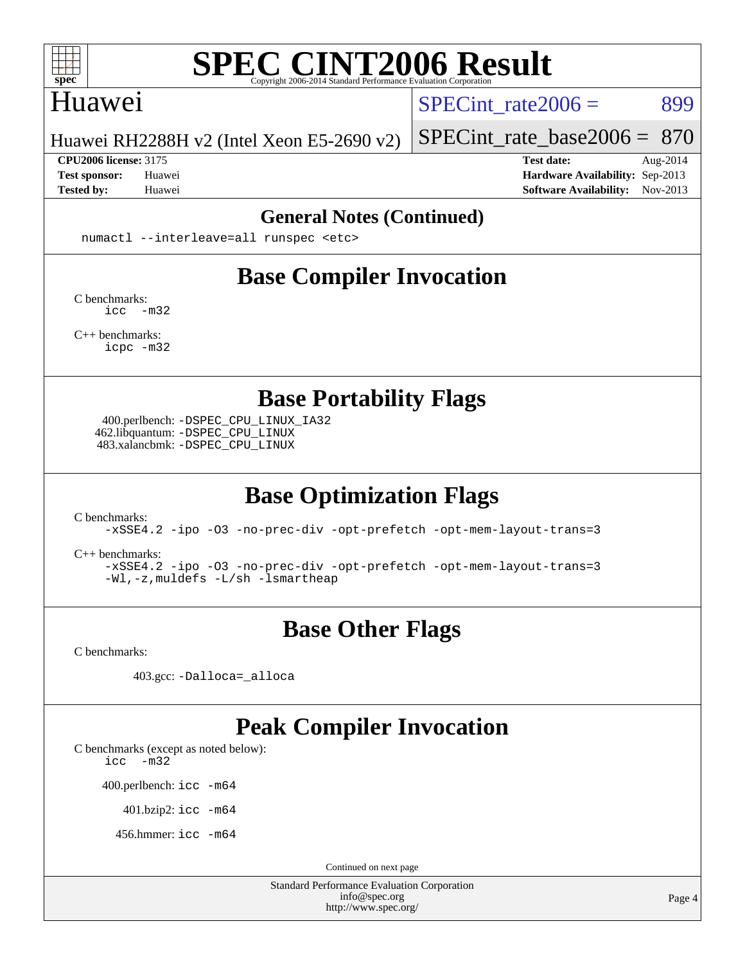

### Huawei

SPECint rate $2006 = 899$ 

Huawei RH2288H v2 (Intel Xeon E5-2690 v2)

**[CPU2006 license:](http://www.spec.org/auto/cpu2006/Docs/result-fields.html#CPU2006license)** 3175 **[Test date:](http://www.spec.org/auto/cpu2006/Docs/result-fields.html#Testdate)** Aug-2014

[SPECint\\_rate\\_base2006 =](http://www.spec.org/auto/cpu2006/Docs/result-fields.html#SPECintratebase2006) 870

**[Test sponsor:](http://www.spec.org/auto/cpu2006/Docs/result-fields.html#Testsponsor)** Huawei **[Hardware Availability:](http://www.spec.org/auto/cpu2006/Docs/result-fields.html#HardwareAvailability)** Sep-2013 **[Tested by:](http://www.spec.org/auto/cpu2006/Docs/result-fields.html#Testedby)** Huawei **[Software Availability:](http://www.spec.org/auto/cpu2006/Docs/result-fields.html#SoftwareAvailability)** Nov-2013

#### **[General Notes \(Continued\)](http://www.spec.org/auto/cpu2006/Docs/result-fields.html#GeneralNotes)**

numactl --interleave=all runspec <etc>

# **[Base Compiler Invocation](http://www.spec.org/auto/cpu2006/Docs/result-fields.html#BaseCompilerInvocation)**

[C benchmarks](http://www.spec.org/auto/cpu2006/Docs/result-fields.html#Cbenchmarks): [icc -m32](http://www.spec.org/cpu2006/results/res2014q3/cpu2006-20140804-30742.flags.html#user_CCbase_intel_icc_5ff4a39e364c98233615fdd38438c6f2)

[C++ benchmarks:](http://www.spec.org/auto/cpu2006/Docs/result-fields.html#CXXbenchmarks) [icpc -m32](http://www.spec.org/cpu2006/results/res2014q3/cpu2006-20140804-30742.flags.html#user_CXXbase_intel_icpc_4e5a5ef1a53fd332b3c49e69c3330699)

**[Base Portability Flags](http://www.spec.org/auto/cpu2006/Docs/result-fields.html#BasePortabilityFlags)**

 400.perlbench: [-DSPEC\\_CPU\\_LINUX\\_IA32](http://www.spec.org/cpu2006/results/res2014q3/cpu2006-20140804-30742.flags.html#b400.perlbench_baseCPORTABILITY_DSPEC_CPU_LINUX_IA32) 462.libquantum: [-DSPEC\\_CPU\\_LINUX](http://www.spec.org/cpu2006/results/res2014q3/cpu2006-20140804-30742.flags.html#b462.libquantum_baseCPORTABILITY_DSPEC_CPU_LINUX) 483.xalancbmk: [-DSPEC\\_CPU\\_LINUX](http://www.spec.org/cpu2006/results/res2014q3/cpu2006-20140804-30742.flags.html#b483.xalancbmk_baseCXXPORTABILITY_DSPEC_CPU_LINUX)

# **[Base Optimization Flags](http://www.spec.org/auto/cpu2006/Docs/result-fields.html#BaseOptimizationFlags)**

[C benchmarks](http://www.spec.org/auto/cpu2006/Docs/result-fields.html#Cbenchmarks):

[-xSSE4.2](http://www.spec.org/cpu2006/results/res2014q3/cpu2006-20140804-30742.flags.html#user_CCbase_f-xSSE42_f91528193cf0b216347adb8b939d4107) [-ipo](http://www.spec.org/cpu2006/results/res2014q3/cpu2006-20140804-30742.flags.html#user_CCbase_f-ipo) [-O3](http://www.spec.org/cpu2006/results/res2014q3/cpu2006-20140804-30742.flags.html#user_CCbase_f-O3) [-no-prec-div](http://www.spec.org/cpu2006/results/res2014q3/cpu2006-20140804-30742.flags.html#user_CCbase_f-no-prec-div) [-opt-prefetch](http://www.spec.org/cpu2006/results/res2014q3/cpu2006-20140804-30742.flags.html#user_CCbase_f-opt-prefetch) [-opt-mem-layout-trans=3](http://www.spec.org/cpu2006/results/res2014q3/cpu2006-20140804-30742.flags.html#user_CCbase_f-opt-mem-layout-trans_a7b82ad4bd7abf52556d4961a2ae94d5)

[C++ benchmarks:](http://www.spec.org/auto/cpu2006/Docs/result-fields.html#CXXbenchmarks)

[-xSSE4.2](http://www.spec.org/cpu2006/results/res2014q3/cpu2006-20140804-30742.flags.html#user_CXXbase_f-xSSE42_f91528193cf0b216347adb8b939d4107) [-ipo](http://www.spec.org/cpu2006/results/res2014q3/cpu2006-20140804-30742.flags.html#user_CXXbase_f-ipo) [-O3](http://www.spec.org/cpu2006/results/res2014q3/cpu2006-20140804-30742.flags.html#user_CXXbase_f-O3) [-no-prec-div](http://www.spec.org/cpu2006/results/res2014q3/cpu2006-20140804-30742.flags.html#user_CXXbase_f-no-prec-div) [-opt-prefetch](http://www.spec.org/cpu2006/results/res2014q3/cpu2006-20140804-30742.flags.html#user_CXXbase_f-opt-prefetch) [-opt-mem-layout-trans=3](http://www.spec.org/cpu2006/results/res2014q3/cpu2006-20140804-30742.flags.html#user_CXXbase_f-opt-mem-layout-trans_a7b82ad4bd7abf52556d4961a2ae94d5) [-Wl,-z,muldefs](http://www.spec.org/cpu2006/results/res2014q3/cpu2006-20140804-30742.flags.html#user_CXXbase_link_force_multiple1_74079c344b956b9658436fd1b6dd3a8a) [-L/sh -lsmartheap](http://www.spec.org/cpu2006/results/res2014q3/cpu2006-20140804-30742.flags.html#user_CXXbase_SmartHeap_32f6c82aa1ed9c52345d30cf6e4a0499)

## **[Base Other Flags](http://www.spec.org/auto/cpu2006/Docs/result-fields.html#BaseOtherFlags)**

[C benchmarks](http://www.spec.org/auto/cpu2006/Docs/result-fields.html#Cbenchmarks):

403.gcc: [-Dalloca=\\_alloca](http://www.spec.org/cpu2006/results/res2014q3/cpu2006-20140804-30742.flags.html#b403.gcc_baseEXTRA_CFLAGS_Dalloca_be3056838c12de2578596ca5467af7f3)

## **[Peak Compiler Invocation](http://www.spec.org/auto/cpu2006/Docs/result-fields.html#PeakCompilerInvocation)**

[C benchmarks \(except as noted below\)](http://www.spec.org/auto/cpu2006/Docs/result-fields.html#Cbenchmarksexceptasnotedbelow):

[icc -m32](http://www.spec.org/cpu2006/results/res2014q3/cpu2006-20140804-30742.flags.html#user_CCpeak_intel_icc_5ff4a39e364c98233615fdd38438c6f2)

400.perlbench: [icc -m64](http://www.spec.org/cpu2006/results/res2014q3/cpu2006-20140804-30742.flags.html#user_peakCCLD400_perlbench_intel_icc_64bit_bda6cc9af1fdbb0edc3795bac97ada53)

401.bzip2: [icc -m64](http://www.spec.org/cpu2006/results/res2014q3/cpu2006-20140804-30742.flags.html#user_peakCCLD401_bzip2_intel_icc_64bit_bda6cc9af1fdbb0edc3795bac97ada53)

456.hmmer: [icc -m64](http://www.spec.org/cpu2006/results/res2014q3/cpu2006-20140804-30742.flags.html#user_peakCCLD456_hmmer_intel_icc_64bit_bda6cc9af1fdbb0edc3795bac97ada53)

Continued on next page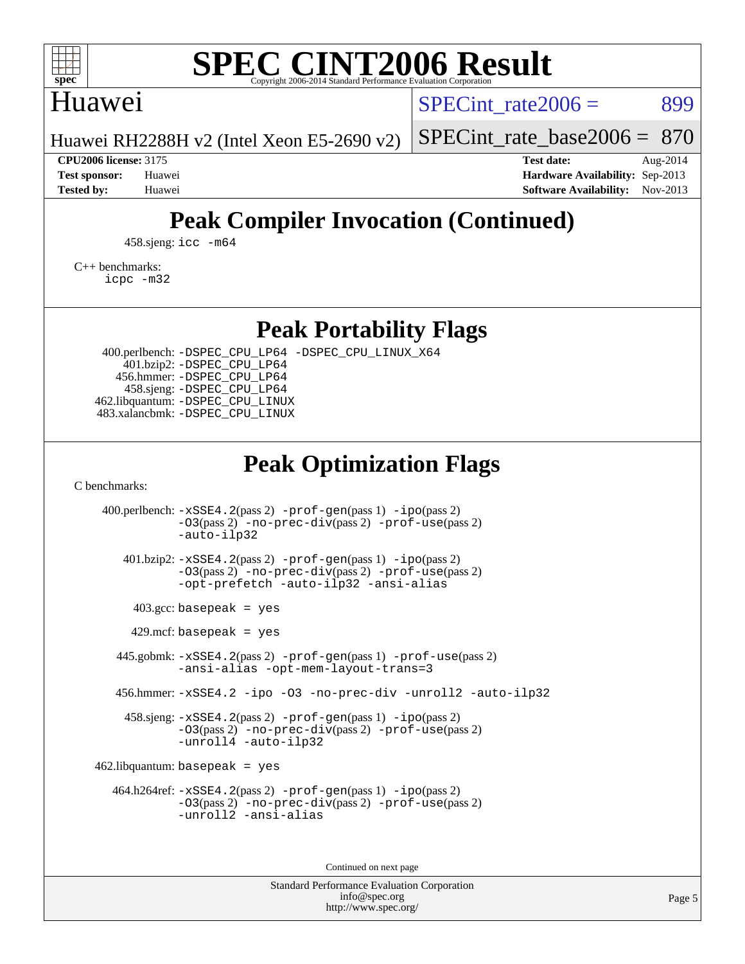

## Huawei

SPECint rate $2006 = 899$ 

Huawei RH2288H v2 (Intel Xeon E5-2690 v2)

[SPECint\\_rate\\_base2006 =](http://www.spec.org/auto/cpu2006/Docs/result-fields.html#SPECintratebase2006) 870

**[CPU2006 license:](http://www.spec.org/auto/cpu2006/Docs/result-fields.html#CPU2006license)** 3175 **[Test date:](http://www.spec.org/auto/cpu2006/Docs/result-fields.html#Testdate)** Aug-2014 **[Test sponsor:](http://www.spec.org/auto/cpu2006/Docs/result-fields.html#Testsponsor)** Huawei **[Hardware Availability:](http://www.spec.org/auto/cpu2006/Docs/result-fields.html#HardwareAvailability)** Sep-2013 **[Tested by:](http://www.spec.org/auto/cpu2006/Docs/result-fields.html#Testedby)** Huawei **[Software Availability:](http://www.spec.org/auto/cpu2006/Docs/result-fields.html#SoftwareAvailability)** Nov-2013

# **[Peak Compiler Invocation \(Continued\)](http://www.spec.org/auto/cpu2006/Docs/result-fields.html#PeakCompilerInvocation)**

458.sjeng: [icc -m64](http://www.spec.org/cpu2006/results/res2014q3/cpu2006-20140804-30742.flags.html#user_peakCCLD458_sjeng_intel_icc_64bit_bda6cc9af1fdbb0edc3795bac97ada53)

[C++ benchmarks:](http://www.spec.org/auto/cpu2006/Docs/result-fields.html#CXXbenchmarks) [icpc -m32](http://www.spec.org/cpu2006/results/res2014q3/cpu2006-20140804-30742.flags.html#user_CXXpeak_intel_icpc_4e5a5ef1a53fd332b3c49e69c3330699)

**[Peak Portability Flags](http://www.spec.org/auto/cpu2006/Docs/result-fields.html#PeakPortabilityFlags)**

 400.perlbench: [-DSPEC\\_CPU\\_LP64](http://www.spec.org/cpu2006/results/res2014q3/cpu2006-20140804-30742.flags.html#b400.perlbench_peakCPORTABILITY_DSPEC_CPU_LP64) [-DSPEC\\_CPU\\_LINUX\\_X64](http://www.spec.org/cpu2006/results/res2014q3/cpu2006-20140804-30742.flags.html#b400.perlbench_peakCPORTABILITY_DSPEC_CPU_LINUX_X64) 401.bzip2: [-DSPEC\\_CPU\\_LP64](http://www.spec.org/cpu2006/results/res2014q3/cpu2006-20140804-30742.flags.html#suite_peakCPORTABILITY401_bzip2_DSPEC_CPU_LP64) 456.hmmer: [-DSPEC\\_CPU\\_LP64](http://www.spec.org/cpu2006/results/res2014q3/cpu2006-20140804-30742.flags.html#suite_peakCPORTABILITY456_hmmer_DSPEC_CPU_LP64) 458.sjeng: [-DSPEC\\_CPU\\_LP64](http://www.spec.org/cpu2006/results/res2014q3/cpu2006-20140804-30742.flags.html#suite_peakCPORTABILITY458_sjeng_DSPEC_CPU_LP64) 462.libquantum: [-DSPEC\\_CPU\\_LINUX](http://www.spec.org/cpu2006/results/res2014q3/cpu2006-20140804-30742.flags.html#b462.libquantum_peakCPORTABILITY_DSPEC_CPU_LINUX) 483.xalancbmk: [-DSPEC\\_CPU\\_LINUX](http://www.spec.org/cpu2006/results/res2014q3/cpu2006-20140804-30742.flags.html#b483.xalancbmk_peakCXXPORTABILITY_DSPEC_CPU_LINUX)

## **[Peak Optimization Flags](http://www.spec.org/auto/cpu2006/Docs/result-fields.html#PeakOptimizationFlags)**

[C benchmarks](http://www.spec.org/auto/cpu2006/Docs/result-fields.html#Cbenchmarks):

 400.perlbench: [-xSSE4.2](http://www.spec.org/cpu2006/results/res2014q3/cpu2006-20140804-30742.flags.html#user_peakPASS2_CFLAGSPASS2_LDCFLAGS400_perlbench_f-xSSE42_f91528193cf0b216347adb8b939d4107)(pass 2) [-prof-gen](http://www.spec.org/cpu2006/results/res2014q3/cpu2006-20140804-30742.flags.html#user_peakPASS1_CFLAGSPASS1_LDCFLAGS400_perlbench_prof_gen_e43856698f6ca7b7e442dfd80e94a8fc)(pass 1) [-ipo](http://www.spec.org/cpu2006/results/res2014q3/cpu2006-20140804-30742.flags.html#user_peakPASS2_CFLAGSPASS2_LDCFLAGS400_perlbench_f-ipo)(pass 2) [-O3](http://www.spec.org/cpu2006/results/res2014q3/cpu2006-20140804-30742.flags.html#user_peakPASS2_CFLAGSPASS2_LDCFLAGS400_perlbench_f-O3)(pass 2) [-no-prec-div](http://www.spec.org/cpu2006/results/res2014q3/cpu2006-20140804-30742.flags.html#user_peakPASS2_CFLAGSPASS2_LDCFLAGS400_perlbench_f-no-prec-div)(pass 2) [-prof-use](http://www.spec.org/cpu2006/results/res2014q3/cpu2006-20140804-30742.flags.html#user_peakPASS2_CFLAGSPASS2_LDCFLAGS400_perlbench_prof_use_bccf7792157ff70d64e32fe3e1250b55)(pass 2) [-auto-ilp32](http://www.spec.org/cpu2006/results/res2014q3/cpu2006-20140804-30742.flags.html#user_peakCOPTIMIZE400_perlbench_f-auto-ilp32) 401.bzip2: [-xSSE4.2](http://www.spec.org/cpu2006/results/res2014q3/cpu2006-20140804-30742.flags.html#user_peakPASS2_CFLAGSPASS2_LDCFLAGS401_bzip2_f-xSSE42_f91528193cf0b216347adb8b939d4107)(pass 2) [-prof-gen](http://www.spec.org/cpu2006/results/res2014q3/cpu2006-20140804-30742.flags.html#user_peakPASS1_CFLAGSPASS1_LDCFLAGS401_bzip2_prof_gen_e43856698f6ca7b7e442dfd80e94a8fc)(pass 1) [-ipo](http://www.spec.org/cpu2006/results/res2014q3/cpu2006-20140804-30742.flags.html#user_peakPASS2_CFLAGSPASS2_LDCFLAGS401_bzip2_f-ipo)(pass 2) [-O3](http://www.spec.org/cpu2006/results/res2014q3/cpu2006-20140804-30742.flags.html#user_peakPASS2_CFLAGSPASS2_LDCFLAGS401_bzip2_f-O3)(pass 2) [-no-prec-div](http://www.spec.org/cpu2006/results/res2014q3/cpu2006-20140804-30742.flags.html#user_peakPASS2_CFLAGSPASS2_LDCFLAGS401_bzip2_f-no-prec-div)(pass 2) [-prof-use](http://www.spec.org/cpu2006/results/res2014q3/cpu2006-20140804-30742.flags.html#user_peakPASS2_CFLAGSPASS2_LDCFLAGS401_bzip2_prof_use_bccf7792157ff70d64e32fe3e1250b55)(pass 2) [-opt-prefetch](http://www.spec.org/cpu2006/results/res2014q3/cpu2006-20140804-30742.flags.html#user_peakCOPTIMIZE401_bzip2_f-opt-prefetch) [-auto-ilp32](http://www.spec.org/cpu2006/results/res2014q3/cpu2006-20140804-30742.flags.html#user_peakCOPTIMIZE401_bzip2_f-auto-ilp32) [-ansi-alias](http://www.spec.org/cpu2006/results/res2014q3/cpu2006-20140804-30742.flags.html#user_peakCOPTIMIZE401_bzip2_f-ansi-alias)  $403.\text{gcc: basepeak}$  = yes  $429$ .mcf: basepeak = yes 445.gobmk: [-xSSE4.2](http://www.spec.org/cpu2006/results/res2014q3/cpu2006-20140804-30742.flags.html#user_peakPASS2_CFLAGSPASS2_LDCFLAGS445_gobmk_f-xSSE42_f91528193cf0b216347adb8b939d4107)(pass 2) [-prof-gen](http://www.spec.org/cpu2006/results/res2014q3/cpu2006-20140804-30742.flags.html#user_peakPASS1_CFLAGSPASS1_LDCFLAGS445_gobmk_prof_gen_e43856698f6ca7b7e442dfd80e94a8fc)(pass 1) [-prof-use](http://www.spec.org/cpu2006/results/res2014q3/cpu2006-20140804-30742.flags.html#user_peakPASS2_CFLAGSPASS2_LDCFLAGS445_gobmk_prof_use_bccf7792157ff70d64e32fe3e1250b55)(pass 2) [-ansi-alias](http://www.spec.org/cpu2006/results/res2014q3/cpu2006-20140804-30742.flags.html#user_peakCOPTIMIZE445_gobmk_f-ansi-alias) [-opt-mem-layout-trans=3](http://www.spec.org/cpu2006/results/res2014q3/cpu2006-20140804-30742.flags.html#user_peakCOPTIMIZE445_gobmk_f-opt-mem-layout-trans_a7b82ad4bd7abf52556d4961a2ae94d5) 456.hmmer: [-xSSE4.2](http://www.spec.org/cpu2006/results/res2014q3/cpu2006-20140804-30742.flags.html#user_peakCOPTIMIZE456_hmmer_f-xSSE42_f91528193cf0b216347adb8b939d4107) [-ipo](http://www.spec.org/cpu2006/results/res2014q3/cpu2006-20140804-30742.flags.html#user_peakCOPTIMIZE456_hmmer_f-ipo) [-O3](http://www.spec.org/cpu2006/results/res2014q3/cpu2006-20140804-30742.flags.html#user_peakCOPTIMIZE456_hmmer_f-O3) [-no-prec-div](http://www.spec.org/cpu2006/results/res2014q3/cpu2006-20140804-30742.flags.html#user_peakCOPTIMIZE456_hmmer_f-no-prec-div) [-unroll2](http://www.spec.org/cpu2006/results/res2014q3/cpu2006-20140804-30742.flags.html#user_peakCOPTIMIZE456_hmmer_f-unroll_784dae83bebfb236979b41d2422d7ec2) [-auto-ilp32](http://www.spec.org/cpu2006/results/res2014q3/cpu2006-20140804-30742.flags.html#user_peakCOPTIMIZE456_hmmer_f-auto-ilp32) 458.sjeng: [-xSSE4.2](http://www.spec.org/cpu2006/results/res2014q3/cpu2006-20140804-30742.flags.html#user_peakPASS2_CFLAGSPASS2_LDCFLAGS458_sjeng_f-xSSE42_f91528193cf0b216347adb8b939d4107)(pass 2) [-prof-gen](http://www.spec.org/cpu2006/results/res2014q3/cpu2006-20140804-30742.flags.html#user_peakPASS1_CFLAGSPASS1_LDCFLAGS458_sjeng_prof_gen_e43856698f6ca7b7e442dfd80e94a8fc)(pass 1) [-ipo](http://www.spec.org/cpu2006/results/res2014q3/cpu2006-20140804-30742.flags.html#user_peakPASS2_CFLAGSPASS2_LDCFLAGS458_sjeng_f-ipo)(pass 2) [-O3](http://www.spec.org/cpu2006/results/res2014q3/cpu2006-20140804-30742.flags.html#user_peakPASS2_CFLAGSPASS2_LDCFLAGS458_sjeng_f-O3)(pass 2) [-no-prec-div](http://www.spec.org/cpu2006/results/res2014q3/cpu2006-20140804-30742.flags.html#user_peakPASS2_CFLAGSPASS2_LDCFLAGS458_sjeng_f-no-prec-div)(pass 2) [-prof-use](http://www.spec.org/cpu2006/results/res2014q3/cpu2006-20140804-30742.flags.html#user_peakPASS2_CFLAGSPASS2_LDCFLAGS458_sjeng_prof_use_bccf7792157ff70d64e32fe3e1250b55)(pass 2) [-unroll4](http://www.spec.org/cpu2006/results/res2014q3/cpu2006-20140804-30742.flags.html#user_peakCOPTIMIZE458_sjeng_f-unroll_4e5e4ed65b7fd20bdcd365bec371b81f) [-auto-ilp32](http://www.spec.org/cpu2006/results/res2014q3/cpu2006-20140804-30742.flags.html#user_peakCOPTIMIZE458_sjeng_f-auto-ilp32)  $462$ .libquantum: basepeak = yes 464.h264ref: [-xSSE4.2](http://www.spec.org/cpu2006/results/res2014q3/cpu2006-20140804-30742.flags.html#user_peakPASS2_CFLAGSPASS2_LDCFLAGS464_h264ref_f-xSSE42_f91528193cf0b216347adb8b939d4107)(pass 2) [-prof-gen](http://www.spec.org/cpu2006/results/res2014q3/cpu2006-20140804-30742.flags.html#user_peakPASS1_CFLAGSPASS1_LDCFLAGS464_h264ref_prof_gen_e43856698f6ca7b7e442dfd80e94a8fc)(pass 1) [-ipo](http://www.spec.org/cpu2006/results/res2014q3/cpu2006-20140804-30742.flags.html#user_peakPASS2_CFLAGSPASS2_LDCFLAGS464_h264ref_f-ipo)(pass 2) [-O3](http://www.spec.org/cpu2006/results/res2014q3/cpu2006-20140804-30742.flags.html#user_peakPASS2_CFLAGSPASS2_LDCFLAGS464_h264ref_f-O3)(pass 2) [-no-prec-div](http://www.spec.org/cpu2006/results/res2014q3/cpu2006-20140804-30742.flags.html#user_peakPASS2_CFLAGSPASS2_LDCFLAGS464_h264ref_f-no-prec-div)(pass 2) [-prof-use](http://www.spec.org/cpu2006/results/res2014q3/cpu2006-20140804-30742.flags.html#user_peakPASS2_CFLAGSPASS2_LDCFLAGS464_h264ref_prof_use_bccf7792157ff70d64e32fe3e1250b55)(pass 2) [-unroll2](http://www.spec.org/cpu2006/results/res2014q3/cpu2006-20140804-30742.flags.html#user_peakCOPTIMIZE464_h264ref_f-unroll_784dae83bebfb236979b41d2422d7ec2) [-ansi-alias](http://www.spec.org/cpu2006/results/res2014q3/cpu2006-20140804-30742.flags.html#user_peakCOPTIMIZE464_h264ref_f-ansi-alias)

Continued on next page